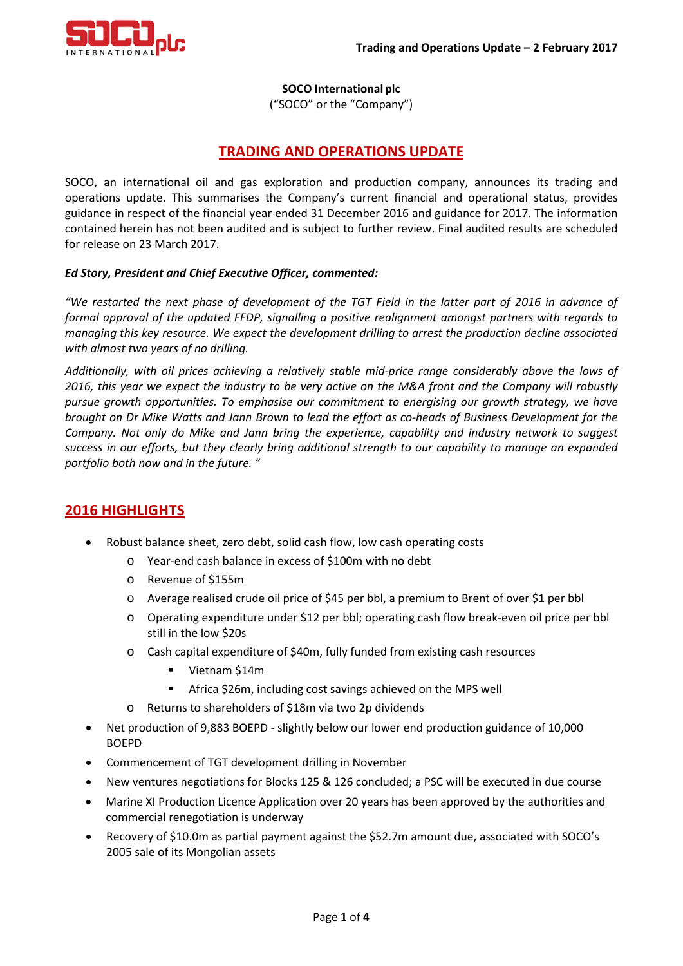

**SOCO International plc**

("SOCO" or the "Company")

## **TRADING AND OPERATIONS UPDATE**

SOCO, an international oil and gas exploration and production company, announces its trading and operations update. This summarises the Company's current financial and operational status, provides guidance in respect of the financial year ended 31 December 2016 and guidance for 2017. The information contained herein has not been audited and is subject to further review. Final audited results are scheduled for release on 23 March 2017.

### *Ed Story, President and Chief Executive Officer, commented:*

*"We restarted the next phase of development of the TGT Field in the latter part of 2016 in advance of formal approval of the updated FFDP, signalling a positive realignment amongst partners with regards to managing this key resource. We expect the development drilling to arrest the production decline associated with almost two years of no drilling.* 

*Additionally, with oil prices achieving a relatively stable mid-price range considerably above the lows of 2016, this year we expect the industry to be very active on the M&A front and the Company will robustly pursue growth opportunities. To emphasise our commitment to energising our growth strategy, we have brought on Dr Mike Watts and Jann Brown to lead the effort as co-heads of Business Development for the Company. Not only do Mike and Jann bring the experience, capability and industry network to suggest success in our efforts, but they clearly bring additional strength to our capability to manage an expanded portfolio both now and in the future. "*

## **2016 HIGHLIGHTS**

- Robust balance sheet, zero debt, solid cash flow, low cash operating costs
	- o Year-end cash balance in excess of \$100m with no debt
	- o Revenue of \$155m
	- o Average realised crude oil price of \$45 per bbl, a premium to Brent of over \$1 per bbl
	- o Operating expenditure under \$12 per bbl; operating cash flow break-even oil price per bbl still in the low \$20s
	- o Cash capital expenditure of \$40m, fully funded from existing cash resources
		- Vietnam \$14m
		- **Africa \$26m, including cost savings achieved on the MPS well**
	- o Returns to shareholders of \$18m via two 2p dividends
- Net production of 9,883 BOEPD slightly below our lower end production guidance of 10,000 BOEPD
- Commencement of TGT development drilling in November
- New ventures negotiations for Blocks 125 & 126 concluded; a PSC will be executed in due course
- Marine XI Production Licence Application over 20 years has been approved by the authorities and commercial renegotiation is underway
- Recovery of \$10.0m as partial payment against the \$52.7m amount due, associated with SOCO's 2005 sale of its Mongolian assets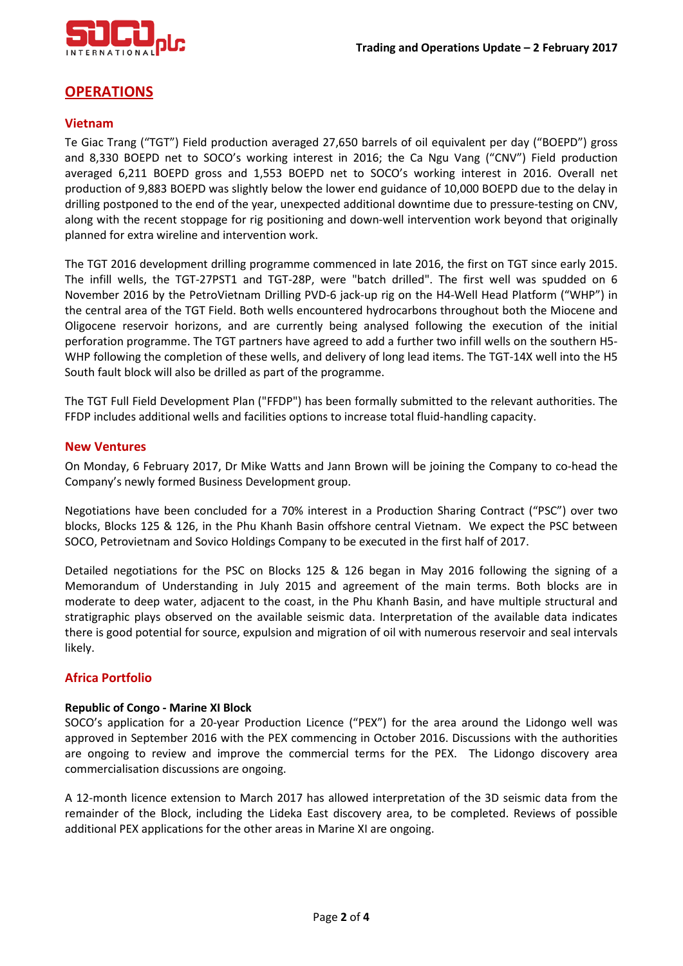

# **OPERATIONS**

### **Vietnam**

Te Giac Trang ("TGT") Field production averaged 27,650 barrels of oil equivalent per day ("BOEPD") gross and 8,330 BOEPD net to SOCO's working interest in 2016; the Ca Ngu Vang ("CNV") Field production averaged 6,211 BOEPD gross and 1,553 BOEPD net to SOCO's working interest in 2016. Overall net production of 9,883 BOEPD was slightly below the lower end guidance of 10,000 BOEPD due to the delay in drilling postponed to the end of the year, unexpected additional downtime due to pressure-testing on CNV, along with the recent stoppage for rig positioning and down-well intervention work beyond that originally planned for extra wireline and intervention work.

The TGT 2016 development drilling programme commenced in late 2016, the first on TGT since early 2015. The infill wells, the TGT-27PST1 and TGT-28P, were "batch drilled". The first well was spudded on 6 November 2016 by the PetroVietnam Drilling PVD-6 jack-up rig on the H4-Well Head Platform ("WHP") in the central area of the TGT Field. Both wells encountered hydrocarbons throughout both the Miocene and Oligocene reservoir horizons, and are currently being analysed following the execution of the initial perforation programme. The TGT partners have agreed to add a further two infill wells on the southern H5- WHP following the completion of these wells, and delivery of long lead items. The TGT-14X well into the H5 South fault block will also be drilled as part of the programme.

The TGT Full Field Development Plan ("FFDP") has been formally submitted to the relevant authorities. The FFDP includes additional wells and facilities options to increase total fluid-handling capacity.

#### **New Ventures**

On Monday, 6 February 2017, Dr Mike Watts and Jann Brown will be joining the Company to co-head the Company's newly formed Business Development group.

Negotiations have been concluded for a 70% interest in a Production Sharing Contract ("PSC") over two blocks, Blocks 125 & 126, in the Phu Khanh Basin offshore central Vietnam. We expect the PSC between SOCO, Petrovietnam and Sovico Holdings Company to be executed in the first half of 2017.

Detailed negotiations for the PSC on Blocks 125 & 126 began in May 2016 following the signing of a Memorandum of Understanding in July 2015 and agreement of the main terms. Both blocks are in moderate to deep water, adjacent to the coast, in the Phu Khanh Basin, and have multiple structural and stratigraphic plays observed on the available seismic data. Interpretation of the available data indicates there is good potential for source, expulsion and migration of oil with numerous reservoir and seal intervals likely.

#### **Africa Portfolio**

#### **Republic of Congo - Marine XI Block**

SOCO's application for a 20-year Production Licence ("PEX") for the area around the Lidongo well was approved in September 2016 with the PEX commencing in October 2016. Discussions with the authorities are ongoing to review and improve the commercial terms for the PEX. The Lidongo discovery area commercialisation discussions are ongoing.

A 12-month licence extension to March 2017 has allowed interpretation of the 3D seismic data from the remainder of the Block, including the Lideka East discovery area, to be completed. Reviews of possible additional PEX applications for the other areas in Marine XI are ongoing.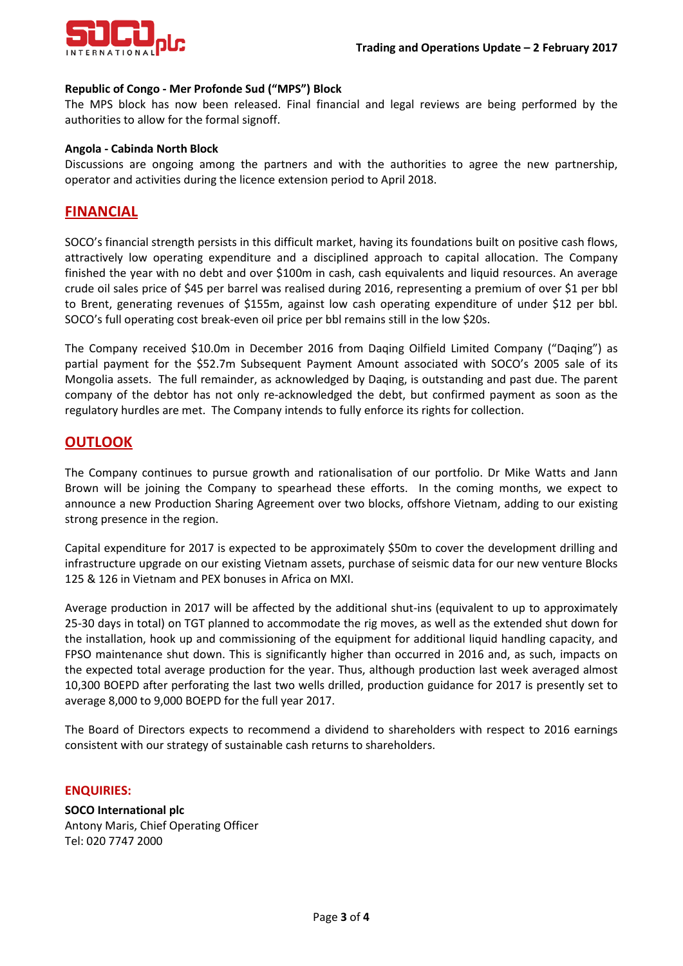

#### **Republic of Congo - Mer Profonde Sud ("MPS") Block**

The MPS block has now been released. Final financial and legal reviews are being performed by the authorities to allow for the formal signoff.

#### **Angola - Cabinda North Block**

Discussions are ongoing among the partners and with the authorities to agree the new partnership, operator and activities during the licence extension period to April 2018.

### **FINANCIAL**

SOCO's financial strength persists in this difficult market, having its foundations built on positive cash flows, attractively low operating expenditure and a disciplined approach to capital allocation. The Company finished the year with no debt and over \$100m in cash, cash equivalents and liquid resources. An average crude oil sales price of \$45 per barrel was realised during 2016, representing a premium of over \$1 per bbl to Brent, generating revenues of \$155m, against low cash operating expenditure of under \$12 per bbl. SOCO's full operating cost break-even oil price per bbl remains still in the low \$20s.

The Company received \$10.0m in December 2016 from Daqing Oilfield Limited Company ("Daqing") as partial payment for the \$52.7m Subsequent Payment Amount associated with SOCO's 2005 sale of its Mongolia assets. The full remainder, as acknowledged by Daqing, is outstanding and past due. The parent company of the debtor has not only re-acknowledged the debt, but confirmed payment as soon as the regulatory hurdles are met. The Company intends to fully enforce its rights for collection.

## **OUTLOOK**

The Company continues to pursue growth and rationalisation of our portfolio. Dr Mike Watts and Jann Brown will be joining the Company to spearhead these efforts. In the coming months, we expect to announce a new Production Sharing Agreement over two blocks, offshore Vietnam, adding to our existing strong presence in the region.

Capital expenditure for 2017 is expected to be approximately \$50m to cover the development drilling and infrastructure upgrade on our existing Vietnam assets, purchase of seismic data for our new venture Blocks 125 & 126 in Vietnam and PEX bonuses in Africa on MXI.

Average production in 2017 will be affected by the additional shut-ins (equivalent to up to approximately 25-30 days in total) on TGT planned to accommodate the rig moves, as well as the extended shut down for the installation, hook up and commissioning of the equipment for additional liquid handling capacity, and FPSO maintenance shut down. This is significantly higher than occurred in 2016 and, as such, impacts on the expected total average production for the year. Thus, although production last week averaged almost 10,300 BOEPD after perforating the last two wells drilled, production guidance for 2017 is presently set to average 8,000 to 9,000 BOEPD for the full year 2017.

The Board of Directors expects to recommend a dividend to shareholders with respect to 2016 earnings consistent with our strategy of sustainable cash returns to shareholders.

#### **ENQUIRIES:**

**SOCO International plc** Antony Maris, Chief Operating Officer Tel: 020 7747 2000